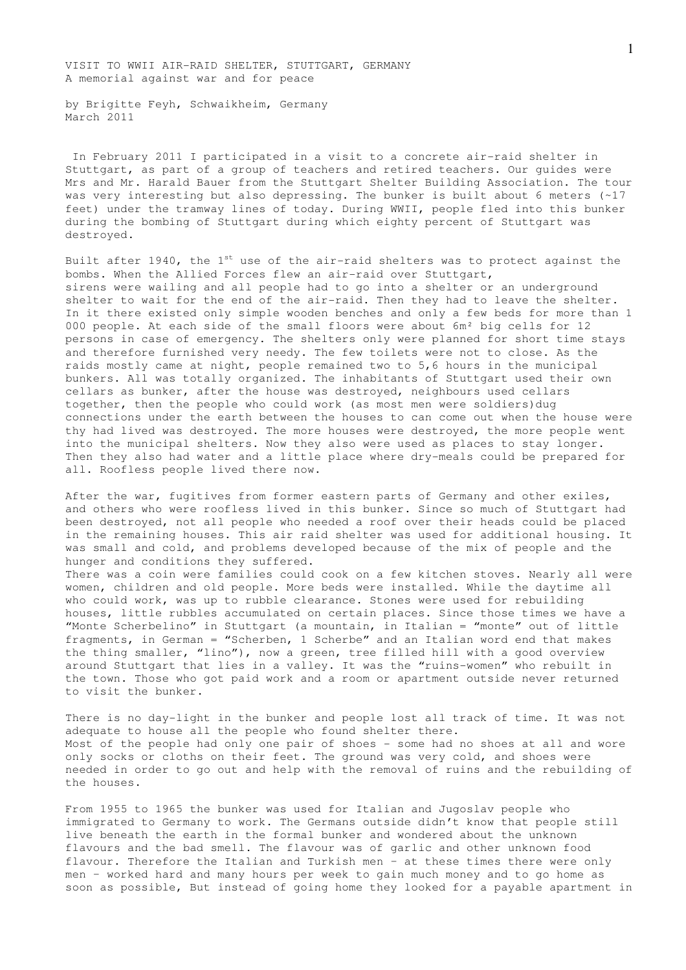VISIT TO WWII AIR-RAID SHELTER, STUTTGART, GERMANY A memorial against war and for peace

by Brigitte Feyh, Schwaikheim, Germany March 2011

 In February 2011 I participated in a visit to a concrete air-raid shelter in Stuttgart, as part of a group of teachers and retired teachers. Our guides were Mrs and Mr. Harald Bauer from the Stuttgart Shelter Building Association. The tour was very interesting but also depressing. The bunker is built about 6 meters (~17 feet) under the tramway lines of today. During WWII, people fled into this bunker during the bombing of Stuttgart during which eighty percent of Stuttgart was destroyed.

Built after 1940, the  $1^{st}$  use of the air-raid shelters was to protect against the bombs. When the Allied Forces flew an air-raid over Stuttgart, sirens were wailing and all people had to go into a shelter or an underground shelter to wait for the end of the air-raid. Then they had to leave the shelter. In it there existed only simple wooden benches and only a few beds for more than 1 000 people. At each side of the small floors were about 6m² big cells for 12 persons in case of emergency. The shelters only were planned for short time stays and therefore furnished very needy. The few toilets were not to close. As the raids mostly came at night, people remained two to 5,6 hours in the municipal bunkers. All was totally organized. The inhabitants of Stuttgart used their own cellars as bunker, after the house was destroyed, neighbours used cellars together, then the people who could work (as most men were soldiers)dug connections under the earth between the houses to can come out when the house were thy had lived was destroyed. The more houses were destroyed, the more people went into the municipal shelters. Now they also were used as places to stay longer. Then they also had water and a little place where dry-meals could be prepared for all. Roofless people lived there now.

After the war, fugitives from former eastern parts of Germany and other exiles, and others who were roofless lived in this bunker. Since so much of Stuttgart had been destroyed, not all people who needed a roof over their heads could be placed in the remaining houses. This air raid shelter was used for additional housing. It was small and cold, and problems developed because of the mix of people and the hunger and conditions they suffered.

There was a coin were families could cook on a few kitchen stoves. Nearly all were women, children and old people. More beds were installed. While the daytime all who could work, was up to rubble clearance. Stones were used for rebuilding houses, little rubbles accumulated on certain places. Since those times we have a "Monte Scherbelino" in Stuttgart (a mountain, in Italian = "monte" out of little fragments, in German = "Scherben, 1 Scherbe" and an Italian word end that makes the thing smaller, "lino"), now a green, tree filled hill with a good overview around Stuttgart that lies in a valley. It was the "ruins-women" who rebuilt in the town. Those who got paid work and a room or apartment outside never returned to visit the bunker.

There is no day-light in the bunker and people lost all track of time. It was not adequate to house all the people who found shelter there. Most of the people had only one pair of shoes - some had no shoes at all and wore only socks or cloths on their feet. The ground was very cold, and shoes were needed in order to go out and help with the removal of ruins and the rebuilding of the houses.

From 1955 to 1965 the bunker was used for Italian and Jugoslav people who immigrated to Germany to work. The Germans outside didn't know that people still live beneath the earth in the formal bunker and wondered about the unknown flavours and the bad smell. The flavour was of garlic and other unknown food flavour. Therefore the Italian and Turkish men – at these times there were only men – worked hard and many hours per week to gain much money and to go home as soon as possible, But instead of going home they looked for a payable apartment in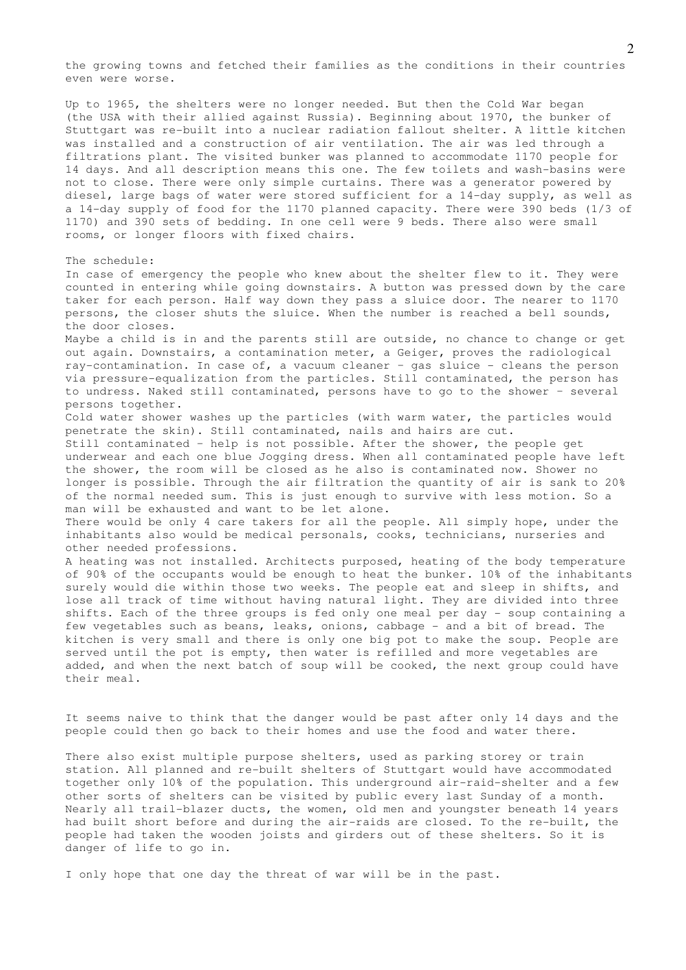the growing towns and fetched their families as the conditions in their countries even were worse.

Up to 1965, the shelters were no longer needed. But then the Cold War began (the USA with their allied against Russia). Beginning about 1970, the bunker of Stuttgart was re-built into a nuclear radiation fallout shelter. A little kitchen was installed and a construction of air ventilation. The air was led through a filtrations plant. The visited bunker was planned to accommodate 1170 people for 14 days. And all description means this one. The few toilets and wash-basins were not to close. There were only simple curtains. There was a generator powered by diesel, large bags of water were stored sufficient for a 14-day supply, as well as a 14-day supply of food for the 1170 planned capacity. There were 390 beds (1/3 of 1170) and 390 sets of bedding. In one cell were 9 beds. There also were small rooms, or longer floors with fixed chairs.

## The schedule:

In case of emergency the people who knew about the shelter flew to it. They were counted in entering while going downstairs. A button was pressed down by the care taker for each person. Half way down they pass a sluice door. The nearer to 1170 persons, the closer shuts the sluice. When the number is reached a bell sounds, the door closes.

Maybe a child is in and the parents still are outside, no chance to change or get out again. Downstairs, a contamination meter, a Geiger, proves the radiological ray-contamination. In case of, a vacuum cleaner – gas sluice - cleans the person via pressure-equalization from the particles. Still contaminated, the person has to undress. Naked still contaminated, persons have to go to the shower – several persons together.

Cold water shower washes up the particles (with warm water, the particles would penetrate the skin). Still contaminated, nails and hairs are cut.

Still contaminated – help is not possible. After the shower, the people get underwear and each one blue Jogging dress. When all contaminated people have left the shower, the room will be closed as he also is contaminated now. Shower no longer is possible. Through the air filtration the quantity of air is sank to 20% of the normal needed sum. This is just enough to survive with less motion. So a man will be exhausted and want to be let alone.

There would be only 4 care takers for all the people. All simply hope, under the inhabitants also would be medical personals, cooks, technicians, nurseries and other needed professions.

A heating was not installed. Architects purposed, heating of the body temperature of 90% of the occupants would be enough to heat the bunker. 10% of the inhabitants surely would die within those two weeks. The people eat and sleep in shifts, and lose all track of time without having natural light. They are divided into three shifts. Each of the three groups is fed only one meal per day - soup containing a few vegetables such as beans, leaks, onions, cabbage - and a bit of bread. The kitchen is very small and there is only one big pot to make the soup. People are served until the pot is empty, then water is refilled and more vegetables are added, and when the next batch of soup will be cooked, the next group could have their meal.

It seems naive to think that the danger would be past after only 14 days and the people could then go back to their homes and use the food and water there.

There also exist multiple purpose shelters, used as parking storey or train station. All planned and re-built shelters of Stuttgart would have accommodated together only 10% of the population. This underground air-raid-shelter and a few other sorts of shelters can be visited by public every last Sunday of a month. Nearly all trail-blazer ducts, the women, old men and youngster beneath 14 years had built short before and during the air-raids are closed. To the re-built, the people had taken the wooden joists and girders out of these shelters. So it is danger of life to go in.

I only hope that one day the threat of war will be in the past.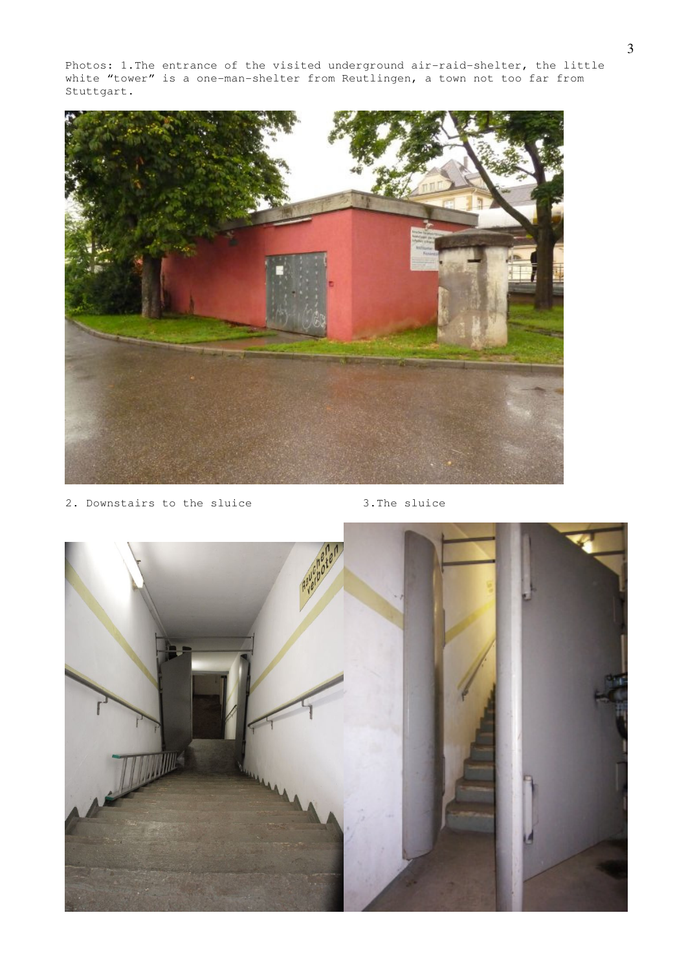Photos: 1.The entrance of the visited underground air-raid-shelter, the little white "tower" is a one-man-shelter from Reutlingen, a town not too far from Stuttgart.



2. Downstairs to the sluice 3.The sluice

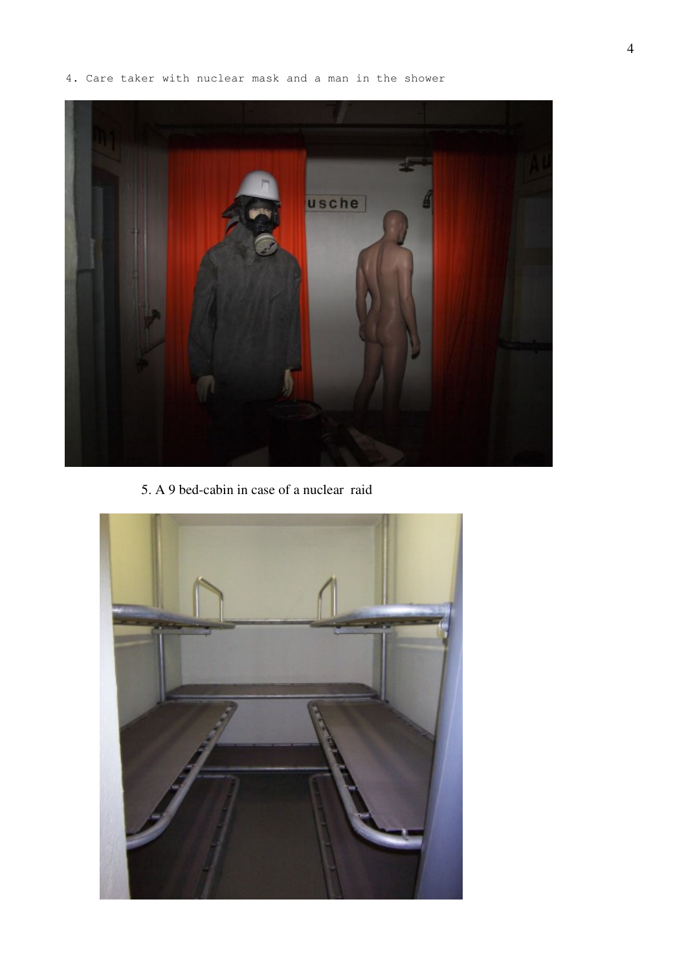4. Care taker with nuclear mask and a man in the shower



5. A 9 bed-cabin in case of a nuclear raid

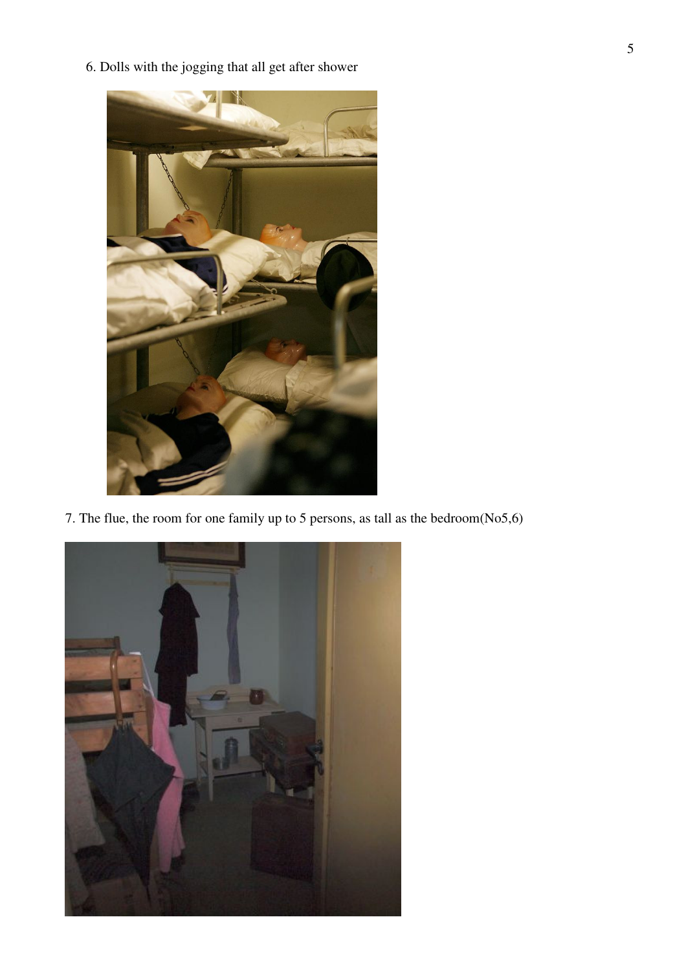6. Dolls with the jogging that all get after shower



7. The flue, the room for one family up to 5 persons, as tall as the bedroom(No5,6)